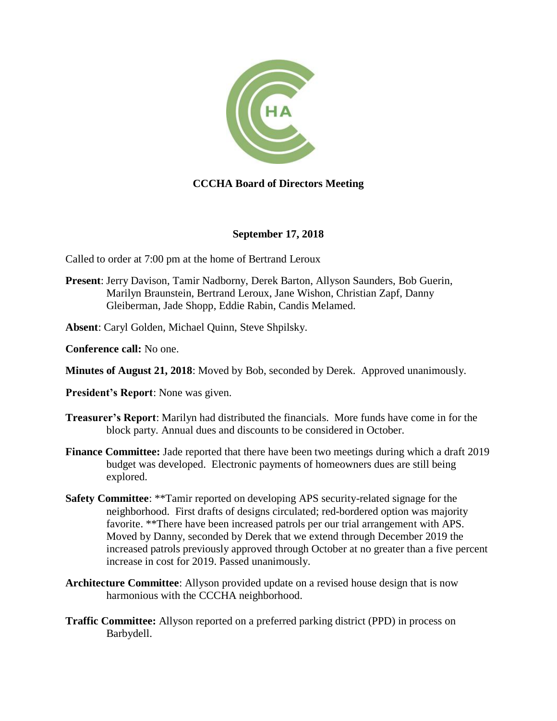

# **CCCHA Board of Directors Meeting**

#### **September 17, 2018**

Called to order at 7:00 pm at the home of Bertrand Leroux

- **Present**: Jerry Davison, Tamir Nadborny, Derek Barton, Allyson Saunders, Bob Guerin, Marilyn Braunstein, Bertrand Leroux, Jane Wishon, Christian Zapf, Danny Gleiberman, Jade Shopp, Eddie Rabin, Candis Melamed.
- **Absent**: Caryl Golden, Michael Quinn, Steve Shpilsky.
- **Conference call:** No one.
- **Minutes of August 21, 2018**: Moved by Bob, seconded by Derek. Approved unanimously.
- **President's Report**: None was given.
- **Treasurer's Report**: Marilyn had distributed the financials. More funds have come in for the block party. Annual dues and discounts to be considered in October.
- **Finance Committee:** Jade reported that there have been two meetings during which a draft 2019 budget was developed. Electronic payments of homeowners dues are still being explored.
- **Safety Committee**: \*\*Tamir reported on developing APS security-related signage for the neighborhood. First drafts of designs circulated; red-bordered option was majority favorite. \*\*There have been increased patrols per our trial arrangement with APS. Moved by Danny, seconded by Derek that we extend through December 2019 the increased patrols previously approved through October at no greater than a five percent increase in cost for 2019. Passed unanimously.
- **Architecture Committee**: Allyson provided update on a revised house design that is now harmonious with the CCCHA neighborhood.
- **Traffic Committee:** Allyson reported on a preferred parking district (PPD) in process on Barbydell.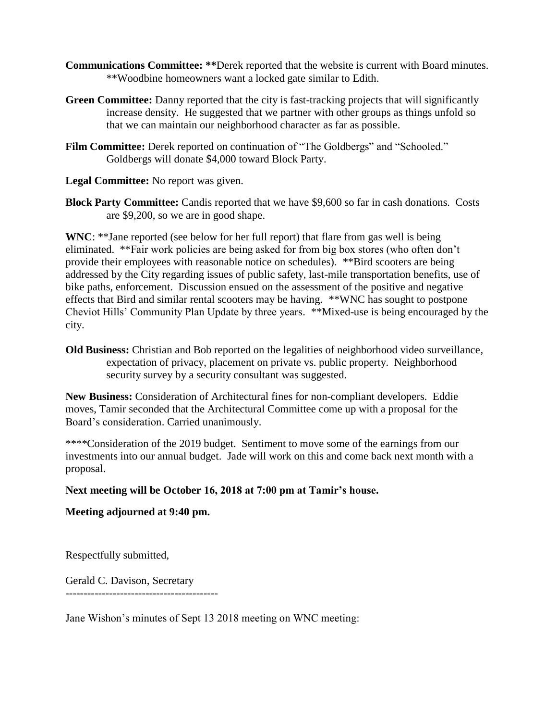- **Communications Committee: \*\*Derek reported that the website is current with Board minutes.** \*\*Woodbine homeowners want a locked gate similar to Edith.
- **Green Committee:** Danny reported that the city is fast-tracking projects that will significantly increase density. He suggested that we partner with other groups as things unfold so that we can maintain our neighborhood character as far as possible.
- **Film Committee:** Derek reported on continuation of "The Goldbergs" and "Schooled." Goldbergs will donate \$4,000 toward Block Party.

**Legal Committee:** No report was given.

**Block Party Committee:** Candis reported that we have \$9,600 so far in cash donations. Costs are \$9,200, so we are in good shape.

**WNC**: \*\*Jane reported (see below for her full report) that flare from gas well is being eliminated. \*\*Fair work policies are being asked for from big box stores (who often don't provide their employees with reasonable notice on schedules). \*\*Bird scooters are being addressed by the City regarding issues of public safety, last-mile transportation benefits, use of bike paths, enforcement. Discussion ensued on the assessment of the positive and negative effects that Bird and similar rental scooters may be having. \*\*WNC has sought to postpone Cheviot Hills' Community Plan Update by three years. \*\*Mixed-use is being encouraged by the city.

**Old Business:** Christian and Bob reported on the legalities of neighborhood video surveillance, expectation of privacy, placement on private vs. public property. Neighborhood security survey by a security consultant was suggested.

**New Business:** Consideration of Architectural fines for non-compliant developers. Eddie moves, Tamir seconded that the Architectural Committee come up with a proposal for the Board's consideration. Carried unanimously.

\*\*\*\*Consideration of the 2019 budget. Sentiment to move some of the earnings from our investments into our annual budget. Jade will work on this and come back next month with a proposal.

## **Next meeting will be October 16, 2018 at 7:00 pm at Tamir's house.**

## **Meeting adjourned at 9:40 pm.**

Respectfully submitted,

Gerald C. Davison, Secretary ------------------------------------------

Jane Wishon's minutes of Sept 13 2018 meeting on WNC meeting: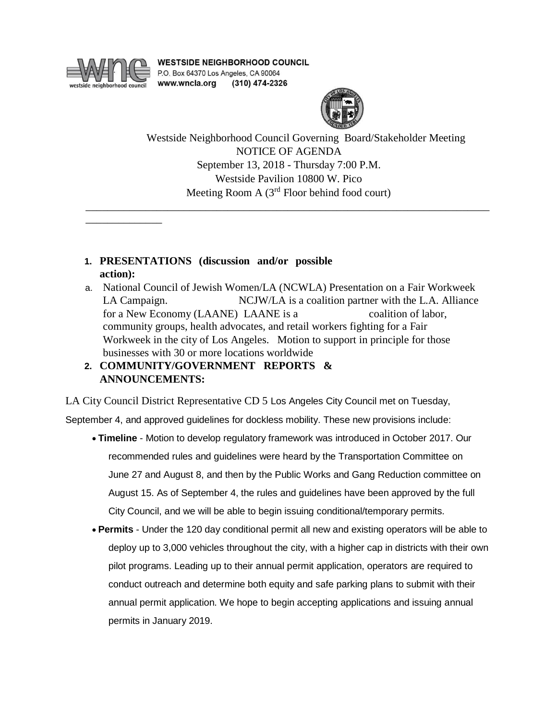

\_\_\_\_\_\_\_\_\_\_\_\_\_\_

**WESTSIDE NEIGHBORHOOD COUNCIL** P.O. Box 64370 Los Angeles, CA 90064 www.wncla.org (310) 474-2326



Westside Neighborhood Council Governing Board/Stakeholder Meeting NOTICE OF AGENDA September 13, 2018 - Thursday 7:00 P.M. Westside Pavilion 10800 W. Pico Meeting Room A (3<sup>rd</sup> Floor behind food court)

- **1. PRESENTATIONS (discussion and/or possible action):**
- a. National Council of Jewish Women/LA (NCWLA) Presentation on a Fair Workweek LA Campaign. NCJW/LA is a coalition partner with the L.A. Alliance for a New Economy (LAANE) LAANE is a coalition of labor, community groups, health advocates, and retail workers fighting for a Fair Workweek in the city of Los Angeles. Motion to support in principle for those businesses with 30 or more locations worldwide

\_\_\_\_\_\_\_\_\_\_\_\_\_\_\_\_\_\_\_\_\_\_\_\_\_\_\_\_\_\_\_\_\_\_\_\_\_\_\_\_\_\_\_\_\_\_\_\_\_\_\_\_\_\_\_\_\_\_\_\_\_\_\_\_\_\_\_\_\_\_\_\_\_\_

**2. COMMUNITY/GOVERNMENT REPORTS & ANNOUNCEMENTS:**

LA City Council District Representative CD 5 Los Angeles City Council met on Tuesday,

September 4, and approved guidelines for dockless mobility. These new provisions include:

- **Timeline** Motion to develop regulatory framework was introduced in October 2017. Our recommended rules and guidelines were heard by the Transportation Committee on June 27 and August 8, and then by the Public Works and Gang Reduction committee on August 15. As of September 4, the rules and guidelines have been approved by the full City Council, and we will be able to begin issuing conditional/temporary permits.
- **Permits** Under the 120 day conditional permit all new and existing operators will be able to deploy up to 3,000 vehicles throughout the city, with a higher cap in districts with their own pilot programs. Leading up to their annual permit application, operators are required to conduct outreach and determine both equity and safe parking plans to submit with their annual permit application. We hope to begin accepting applications and issuing annual permits in January 2019.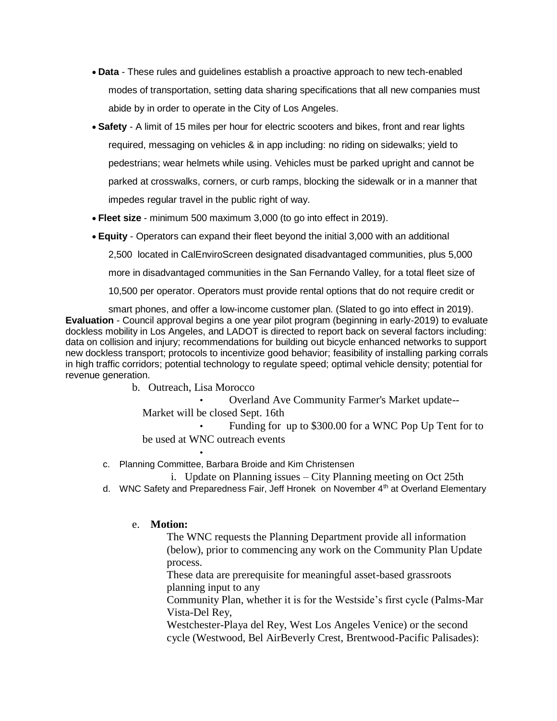- **Data** These rules and guidelines establish a proactive approach to new tech-enabled modes of transportation, setting data sharing specifications that all new companies must abide by in order to operate in the City of Los Angeles.
- **Safety** A limit of 15 miles per hour for electric scooters and bikes, front and rear lights required, messaging on vehicles & in app including: no riding on sidewalks; yield to pedestrians; wear helmets while using. Vehicles must be parked upright and cannot be parked at crosswalks, corners, or curb ramps, blocking the sidewalk or in a manner that impedes regular travel in the public right of way.
- **Fleet size** minimum 500 maximum 3,000 (to go into effect in 2019).
- **Equity** Operators can expand their fleet beyond the initial 3,000 with an additional

2,500 located in CalEnviroScreen designated disadvantaged communities, plus 5,000

more in disadvantaged communities in the San Fernando Valley, for a total fleet size of

10,500 per operator. Operators must provide rental options that do not require credit or

smart phones, and offer a low-income customer plan. (Slated to go into effect in 2019). **Evaluation** - Council approval begins a one year pilot program (beginning in early-2019) to evaluate dockless mobility in Los Angeles, and LADOT is directed to report back on several factors including: data on collision and injury; recommendations for building out bicycle enhanced networks to support new dockless transport; protocols to incentivize good behavior; feasibility of installing parking corrals in high traffic corridors; potential technology to regulate speed; optimal vehicle density; potential for revenue generation.

b. Outreach, Lisa Morocco

•

• Overland Ave Community Farmer's Market update-- Market will be closed Sept. 16th

• Funding for up to \$300.00 for a WNC Pop Up Tent for to be used at WNC outreach events

c. Planning Committee, Barbara Broide and Kim Christensen

i. Update on Planning issues – City Planning meeting on Oct 25th

d. WNC Safety and Preparedness Fair, Jeff Hronek on November  $4<sup>th</sup>$  at Overland Elementary

#### e. **Motion:**

The WNC requests the Planning Department provide all information (below), prior to commencing any work on the Community Plan Update process.

These data are prerequisite for meaningful asset-based grassroots planning input to any

Community Plan, whether it is for the Westside's first cycle (Palms-Mar Vista-Del Rey,

Westchester-Playa del Rey, West Los Angeles Venice) or the second cycle (Westwood, Bel AirBeverly Crest, Brentwood-Pacific Palisades):